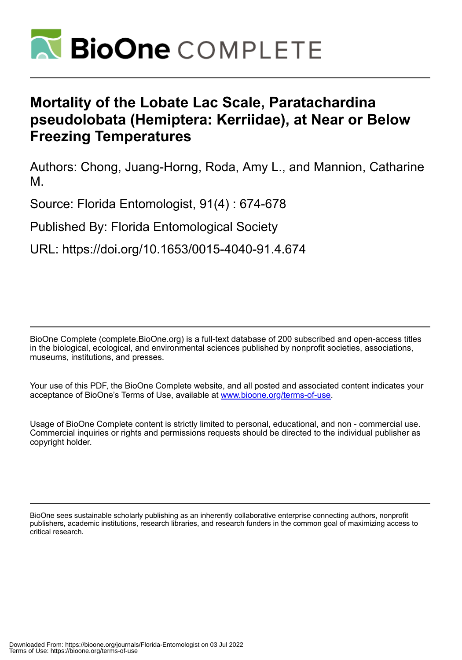

# **Mortality of the Lobate Lac Scale, Paratachardina pseudolobata (Hemiptera: Kerriidae), at Near or Below Freezing Temperatures**

Authors: Chong, Juang-Horng, Roda, Amy L., and Mannion, Catharine M.

Source: Florida Entomologist, 91(4) : 674-678

Published By: Florida Entomological Society

URL: https://doi.org/10.1653/0015-4040-91.4.674

BioOne Complete (complete.BioOne.org) is a full-text database of 200 subscribed and open-access titles in the biological, ecological, and environmental sciences published by nonprofit societies, associations, museums, institutions, and presses.

Your use of this PDF, the BioOne Complete website, and all posted and associated content indicates your acceptance of BioOne's Terms of Use, available at www.bioone.org/terms-of-use.

Usage of BioOne Complete content is strictly limited to personal, educational, and non - commercial use. Commercial inquiries or rights and permissions requests should be directed to the individual publisher as copyright holder.

BioOne sees sustainable scholarly publishing as an inherently collaborative enterprise connecting authors, nonprofit publishers, academic institutions, research libraries, and research funders in the common goal of maximizing access to critical research.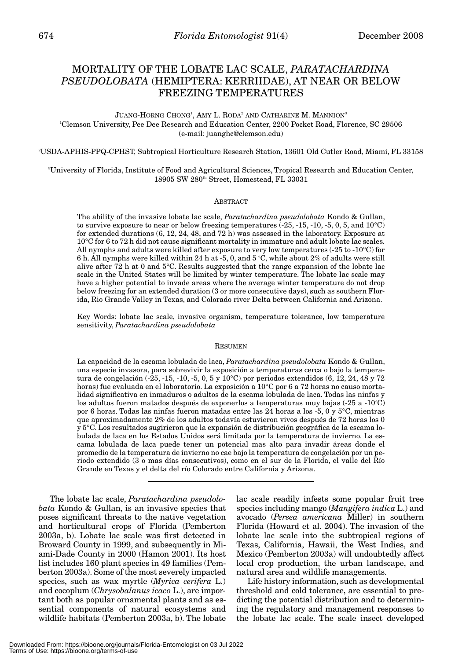## MORTALITY OF THE LOBATE LAC SCALE, *PARATACHARDINA PSEUDOLOBATA* (HEMIPTERA: KERRIIDAE), AT NEAR OR BELOW FREEZING TEMPERATURES

JUANG-HORNG CHONG<sup>1</sup>, AMY L. RODA<sup>2</sup> AND CATHARINE M. MANNION<sup>3</sup> 1 Clemson University, Pee Dee Research and Education Center, 2200 Pocket Road, Florence, SC 29506 (e-mail: juanghc@clemson.edu)

2 USDA-APHIS-PPQ-CPHST, Subtropical Horticulture Research Station, 13601 Old Cutler Road, Miami, FL 33158

3 University of Florida, Institute of Food and Agricultural Sciences, Tropical Research and Education Center, 18905 SW 280<sup>th</sup> Street, Homestead, FL 33031

#### **ABSTRACT**

The ability of the invasive lobate lac scale, *Paratachardina pseudolobata* Kondo & Gullan, to survive exposure to near or below freezing temperatures  $(-25, -15, -10, -5, 0, 5, \text{ and } 10^{\circ}\text{C})$ for extended durations (6, 12, 24, 48, and 72 h) was assessed in the laboratory. Exposure at 10°C for 6 to 72 h did not cause significant mortality in immature and adult lobate lac scales. All nymphs and adults were killed after exposure to very low temperatures (-25 to -10°C) for 6 h. All nymphs were killed within 24 h at -5, 0, and 5 °C, while about 2% of adults were still alive after 72 h at 0 and  $5^{\circ}$ C. Results suggested that the range expansion of the lobate lac scale in the United States will be limited by winter temperature. The lobate lac scale may have a higher potential to invade areas where the average winter temperature do not drop below freezing for an extended duration (3 or more consecutive days), such as southern Florida, Rio Grande Valley in Texas, and Colorado river Delta between California and Arizona.

Key Words: lobate lac scale, invasive organism, temperature tolerance, low temperature sensitivity, *Paratachardina pseudolobata*

#### RESUMEN

La capacidad de la escama lobulada de laca, *Paratachardina pseudolobata* Kondo & Gullan, una especie invasora, para sobrevivir la exposición a temperaturas cerca o bajo la temperatura de congelación (-25, -15, -10, -5, 0, 5 y 10°C) por periodos extendidos (6, 12, 24, 48 y 72 horas) fue evaluada en el laboratorio. La exposición a 10°C por 6 a 72 horas no causo mortalidad significativa en inmaduros o adultos de la escama lobulada de laca. Todas las ninfas y los adultos fueron matados después de exponerlos a temperaturas muy bajas (-25 a -10°C) por 6 horas. Todas las ninfas fueron matadas entre las 24 horas a los -5, 0 y 5°C, mientras que aproximadamente 2% de los adultos todavía estuvieron vivos después de 72 horas los 0 y 5°C. Los resultados sugirieron que la expansión de distribución geográfica de la escama lobulada de laca en los Estados Unidos será limitada por la temperatura de invierno. La escama lobulada de laca puede tener un potencial mas alto para invadir áreas donde el promedio de la temperatura de invierno no cae bajo la temperatura de congelación por un periodo extendido (3 o mas días consecutivos), como en el sur de la Florida, el valle del Río Grande en Texas y el delta del río Colorado entre California y Arizona.

The lobate lac scale, *Paratachardina pseudolobata* Kondo & Gullan, is an invasive species that poses significant threats to the native vegetation and horticultural crops of Florida (Pemberton 2003a, b). Lobate lac scale was first detected in Broward County in 1999, and subsequently in Miami-Dade County in 2000 (Hamon 2001). Its host list includes 160 plant species in 49 families (Pemberton 2003a). Some of the most severely impacted species, such as wax myrtle (*Myrica cerifera* L.) and cocoplum (*Chrysobalanus icaco* L.), are important both as popular ornamental plants and as essential components of natural ecosystems and wildlife habitats (Pemberton 2003a, b). The lobate

lac scale readily infests some popular fruit tree species including mango (*Mangifera indica* L.) and avocado (*Persea americana* Miller) in southern Florida (Howard et al. 2004). The invasion of the lobate lac scale into the subtropical regions of Texas, California, Hawaii, the West Indies, and Mexico (Pemberton 2003a) will undoubtedly affect local crop production, the urban landscape, and natural area and wildlife managements.

Life history information, such as developmental threshold and cold tolerance, are essential to predicting the potential distribution and to determining the regulatory and management responses to the lobate lac scale. The scale insect developed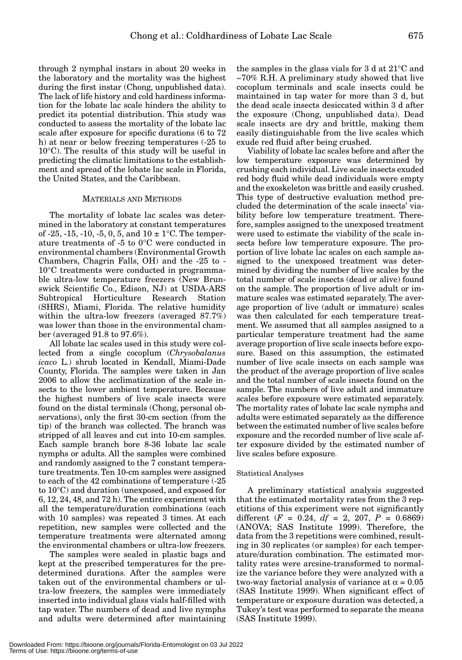through 2 nymphal instars in about 20 weeks in the laboratory and the mortality was the highest during the first instar (Chong, unpublished data). The lack of life history and cold hardiness information for the lobate lac scale hinders the ability to predict its potential distribution. This study was conducted to assess the mortality of the lobate lac scale after exposure for specific durations (6 to 72 h) at near or below freezing temperatures (-25 to 10°C). The results of this study will be useful in predicting the climatic limitations to the establishment and spread of the lobate lac scale in Florida, the United States, and the Caribbean.

#### MATERIALS AND METHODS

The mortality of lobate lac scales was determined in the laboratory at constant temperatures of -25, -15, -10, -5, 0, 5, and  $10 \pm 1$ °C. The temperature treatments of -5 to 0°C were conducted in environmental chambers (Environmental Growth Chambers, Chagrin Falls, OH) and the -25 to - 10°C treatments were conducted in programmable ultra-low temperature freezers (New Brunswick Scientific Co., Edison, NJ) at USDA-ARS Subtropical Horticulture Research Station (SHRS), Miami, Florida. The relative humidity within the ultra-low freezers (averaged 87.7%) was lower than those in the environmental chamber (averaged 91.8 to 97.6%).

All lobate lac scales used in this study were collected from a single cocoplum (*Chrysobalanus icaco* L.) shrub located in Kendall, Miami-Dade County, Florida. The samples were taken in Jan 2006 to allow the acclimatization of the scale insects to the lower ambient temperature. Because the highest numbers of live scale insects were found on the distal terminals (Chong, personal observations), only the first 30-cm section (from the tip) of the branch was collected. The branch was stripped of all leaves and cut into 10-cm samples. Each sample branch bore 8-36 lobate lac scale nymphs or adults. All the samples were combined and randomly assigned to the 7 constant temperature treatments. Ten 10-cm samples were assigned to each of the 42 combinations of temperature (-25 to 10°C) and duration (unexposed, and exposed for 6, 12, 24, 48, and 72 h). The entire experiment with all the temperature/duration combinations (each with 10 samples) was repeated 3 times. At each repetition, new samples were collected and the temperature treatments were alternated among the environmental chambers or ultra-low freezers.

The samples were sealed in plastic bags and kept at the prescribed temperatures for the predetermined durations. After the samples were taken out of the environmental chambers or ultra-low freezers, the samples were immediately inserted into individual glass vials half-filled with tap water. The numbers of dead and live nymphs and adults were determined after maintaining the samples in the glass vials for 3 d at 21°C and ~70% R.H. A preliminary study showed that live cocoplum terminals and scale insects could be maintained in tap water for more than 3 d, but the dead scale insects desiccated within 3 d after the exposure (Chong, unpublished data). Dead scale insects are dry and brittle, making them easily distinguishable from the live scales which exude red fluid after being crushed.

Viability of lobate lac scales before and after the low temperature exposure was determined by crushing each individual. Live scale insects exuded red body fluid while dead individuals were empty and the exoskeleton was brittle and easily crushed. This type of destructive evaluation method precluded the determination of the scale insects' viability before low temperature treatment. Therefore, samples assigned to the unexposed treatment were used to estimate the viability of the scale insects before low temperature exposure. The proportion of live lobate lac scales on each sample assigned to the unexposed treatment was determined by dividing the number of live scales by the total number of scale insects (dead or alive) found on the sample. The proportion of live adult or immature scales was estimated separately. The average proportion of live (adult or immature) scales was then calculated for each temperature treatment. We assumed that all samples assigned to a particular temperature treatment had the same average proportion of live scale insects before exposure. Based on this assumption, the estimated number of live scale insects on each sample was the product of the average proportion of live scales and the total number of scale insects found on the sample. The numbers of live adult and immature scales before exposure were estimated separately. The mortality rates of lobate lac scale nymphs and adults were estimated separately as the difference between the estimated number of live scales before exposure and the recorded number of live scale after exposure divided by the estimated number of live scales before exposure.

#### Statistical Analyses

A preliminary statistical analysis suggested that the estimated mortality rates from the 3 repetitions of this experiment were not significantly different  $(F = 0.24, df = 2, 207, P = 0.6869)$ (ANOVA; SAS Institute 1999). Therefore, the data from the 3 repetitions were combined, resulting in 30 replicates (or samples) for each temperature/duration combination. The estimated mortality rates were arcsine-transformed to normalize the variance before they were analyzed with a two-way factorial analysis of variance at  $\alpha = 0.05$ (SAS Institute 1999). When significant effect of temperature or exposure duration was detected, a Tukey's test was performed to separate the means (SAS Institute 1999).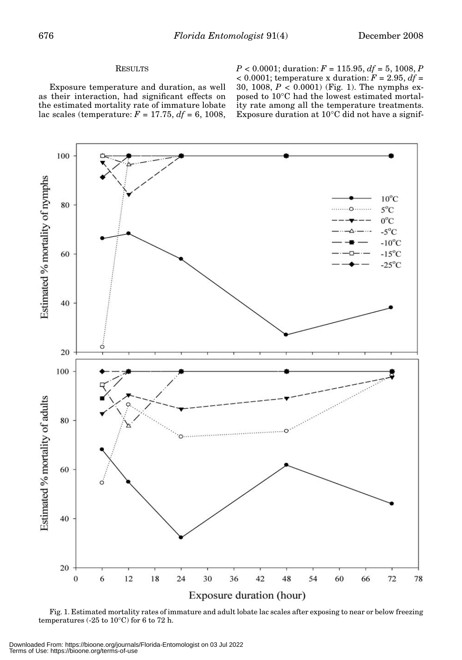### **RESULTS**

Exposure temperature and duration, as well as their interaction, had significant effects on the estimated mortality rate of immature lobate lac scales (temperature: *F* = 17.75, *df* = 6, 1008, *P* < 0.0001; duration: *F* = 115.95, *df* = 5, 1008, *P*  $<$  0.0001; temperature x duration:  $F = 2.95$ ,  $df =$ 30, 1008, *P* < 0.0001) (Fig. 1). The nymphs exposed to 10°C had the lowest estimated mortality rate among all the temperature treatments. Exposure duration at 10°C did not have a signif-



Fig. 1. Estimated mortality rates of immature and adult lobate lac scales after exposing to near or below freezing temperatures (-25 to 10°C) for 6 to 72 h.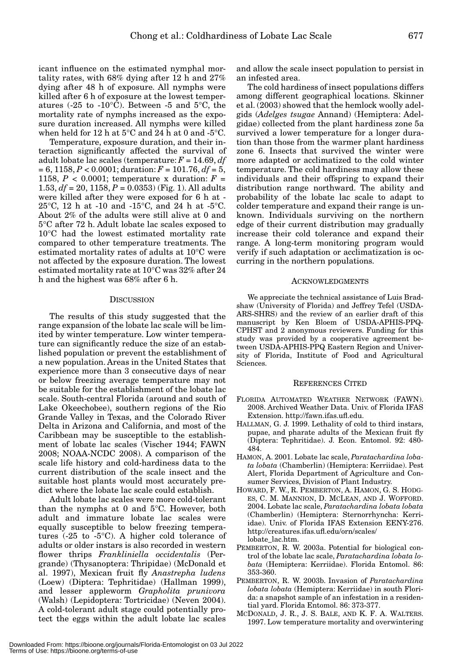icant influence on the estimated nymphal mortality rates, with 68% dying after 12 h and 27% dying after 48 h of exposure. All nymphs were killed after 6 h of exposure at the lowest temperatures (-25 to -10 $^{\circ}$ C). Between -5 and 5 $^{\circ}$ C, the mortality rate of nymphs increased as the exposure duration increased. All nymphs were killed when held for 12 h at 5°C and 24 h at 0 and -5°C.

Temperature, exposure duration, and their interaction significantly affected the survival of adult lobate lac scales (temperature: *F* = 14.69, *df* = 6, 1158, *P* < 0.0001; duration: *F* = 101.76, *df* = 5, 1158,  $P < 0.0001$ ; temperature x duration:  $F =$ 1.53, *df* = 20, 1158, *P* = 0.0353) (Fig. 1). All adults were killed after they were exposed for 6 h at - 25°C, 12 h at -10 and -15°C, and 24 h at -5°C. About 2% of the adults were still alive at 0 and 5°C after 72 h. Adult lobate lac scales exposed to 10°C had the lowest estimated mortality rate compared to other temperature treatments. The estimated mortality rates of adults at 10°C were not affected by the exposure duration. The lowest estimated mortality rate at 10°C was 32% after 24 h and the highest was 68% after 6 h.

#### **DISCUSSION**

The results of this study suggested that the range expansion of the lobate lac scale will be limited by winter temperature. Low winter temperature can significantly reduce the size of an established population or prevent the establishment of a new population. Areas in the United States that experience more than 3 consecutive days of near or below freezing average temperature may not be suitable for the establishment of the lobate lac scale. South-central Florida (around and south of Lake Okeechobee), southern regions of the Rio Grande Valley in Texas, and the Colorado River Delta in Arizona and California, and most of the Caribbean may be susceptible to the establishment of lobate lac scales (Vischer 1944; FAWN 2008; NOAA-NCDC 2008). A comparison of the scale life history and cold-hardiness data to the current distribution of the scale insect and the suitable host plants would most accurately predict where the lobate lac scale could establish.

Adult lobate lac scales were more cold-tolerant than the nymphs at 0 and 5°C. However, both adult and immature lobate lac scales were equally susceptible to below freezing temperatures (-25 to -5°C). A higher cold tolerance of adults or older instars is also recorded in western flower thrips *Frankliniella occidentalis* (Pergrande) (Thysanoptera: Thripidae) (McDonald et al. 1997), Mexican fruit fly *Anastrepha ludens* (Loew) (Diptera: Tephritidae) (Hallman 1999), and lesser appleworm *Grapholita prunivora* (Walsh) (Lepidoptera: Tortricidae) (Neven 2004). A cold-tolerant adult stage could potentially protect the eggs within the adult lobate lac scales

and allow the scale insect population to persist in an infested area.

The cold hardiness of insect populations differs among different geographical locations. Skinner et al. (2003) showed that the hemlock woolly adelgids (*Adelges tsugae* Annand) (Hemiptera: Adelgidae) collected from the plant hardiness zone 5a survived a lower temperature for a longer duration than those from the warmer plant hardiness zone 6. Insects that survived the winter were more adapted or acclimatized to the cold winter temperature. The cold hardiness may allow these individuals and their offspring to expand their distribution range northward. The ability and probability of the lobate lac scale to adapt to colder temperature and expand their range is unknown. Individuals surviving on the northern edge of their current distribution may gradually increase their cold tolerance and expand their range. A long-term monitoring program would verify if such adaptation or acclimatization is occurring in the northern populations.

#### ACKNOWLEDGMENTS

We appreciate the technical assistance of Luis Bradshaw (University of Florida) and Jeffrey Tefel (USDA-ARS-SHRS) and the review of an earlier draft of this manuscript by Ken Bloem of USDA-APHIS-PPQ-CPHST and 2 anonymous reviewers. Funding for this study was provided by a cooperative agreement between USDA-APHIS-PPQ Eastern Region and University of Florida, Institute of Food and Agricultural Sciences.

#### REFERENCES CITED

- FLORIDA AUTOMATED WEATHER NETWORK (FAWN). 2008. Archived Weather Data. Univ. of Florida IFAS Extension. http://fawn.ifas.ufl.edu.
- HALLMAN, G. J. 1999. Lethality of cold to third instars, pupae, and pharate adults of the Mexican fruit fly (Diptera: Tephritidae). J. Econ. Entomol. 92: 480- 484.
- HAMON, A. 2001. Lobate lac scale, *Paratachardina lobata lobata* (Chamberlin) (Hemiptera: Kerriidae). Pest Alert, Florida Department of Agriculture and Consumer Services, Division of Plant Industry.
- HOWARD, F. W., R. PEMBERTON, A. HAMON, G. S. HODG-ES, C. M. MANNION, D. MCLEAN, AND J. WOFFORD. 2004. Lobate lac scale, *Paratachardina lobata lobata* (Chamberlin) (Hemiptera: Sternorrhyncha: Kerriidae). Univ. of Florida IFAS Extension EENY-276. http://creatures.ifas.ufl.edu/orn/scales/ lobate\_lac.htm.
- PEMBERTON, R. W. 2003a. Potential for biological control of the lobate lac scale, *Paratachardina lobata lobata* (Hemiptera: Kerriidae). Florida Entomol. 86: 353-360.
- PEMBERTON, R. W. 2003b. Invasion of *Paratachardina lobata lobata* (Hemiptera: Kerriidae) in south Florida: a snapshot sample of an infestation in a residential yard. Florida Entomol. 86: 373-377.
- MCDONALD, J. R., J. S. BALE, AND K. F. A. WALTERS. 1997. Low temperature mortality and overwintering